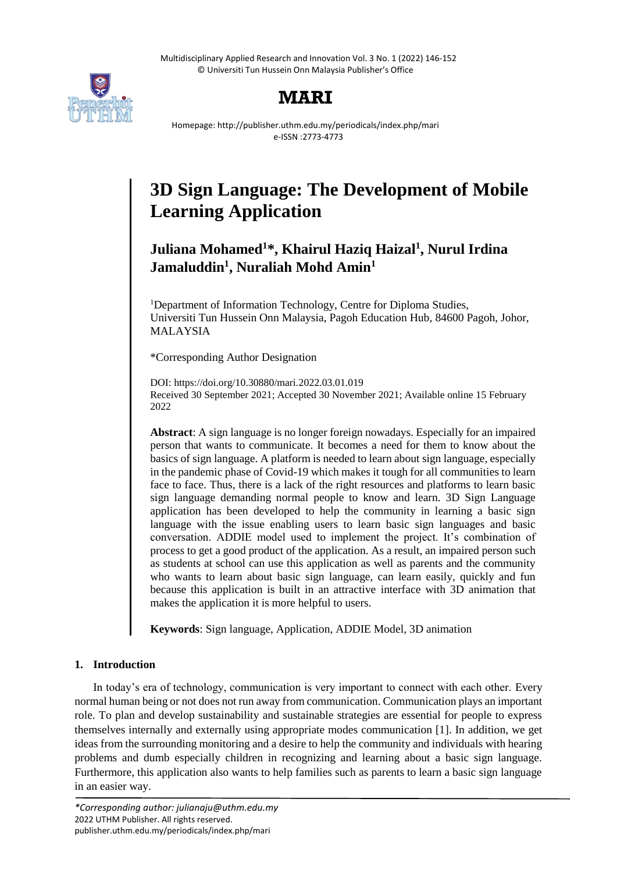Multidisciplinary Applied Research and Innovation Vol. 3 No. 1 (2022) 146-152 © Universiti Tun Hussein Onn Malaysia Publisher's Office



## **MARI**

Homepage: http://publisher.uthm.edu.my/periodicals/index.php/mari e-ISSN :2773-4773

# **3D Sign Language: The Development of Mobile Learning Application**

## **Juliana Mohamed<sup>1</sup>\*, Khairul Haziq Haizal<sup>1</sup> , Nurul Irdina Jamaluddin<sup>1</sup> , Nuraliah Mohd Amin<sup>1</sup>**

<sup>1</sup>Department of Information Technology, Centre for Diploma Studies, Universiti Tun Hussein Onn Malaysia, Pagoh Education Hub, 84600 Pagoh, Johor, MALAYSIA

\*Corresponding Author Designation

DOI: https://doi.org/10.30880/mari.2022.03.01.019 Received 30 September 2021; Accepted 30 November 2021; Available online 15 February 2022

**Abstract**: A sign language is no longer foreign nowadays. Especially for an impaired person that wants to communicate. It becomes a need for them to know about the basics of sign language. A platform is needed to learn about sign language, especially in the pandemic phase of Covid-19 which makes it tough for all communities to learn face to face. Thus, there is a lack of the right resources and platforms to learn basic sign language demanding normal people to know and learn. 3D Sign Language application has been developed to help the community in learning a basic sign language with the issue enabling users to learn basic sign languages and basic conversation. ADDIE model used to implement the project. It's combination of process to get a good product of the application. As a result, an impaired person such as students at school can use this application as well as parents and the community who wants to learn about basic sign language, can learn easily, quickly and fun because this application is built in an attractive interface with 3D animation that makes the application it is more helpful to users.

**Keywords**: Sign language, Application, ADDIE Model, 3D animation

### **1. Introduction**

In today's era of technology, communication is very important to connect with each other. Every normal human being or not does not run away from communication. Communication plays an important role. To plan and develop sustainability and sustainable strategies are essential for people to express themselves internally and externally using appropriate modes communication [1]. In addition, we get ideas from the surrounding monitoring and a desire to help the community and individuals with hearing problems and dumb especially children in recognizing and learning about a basic sign language. Furthermore, this application also wants to help families such as parents to learn a basic sign language in an easier way.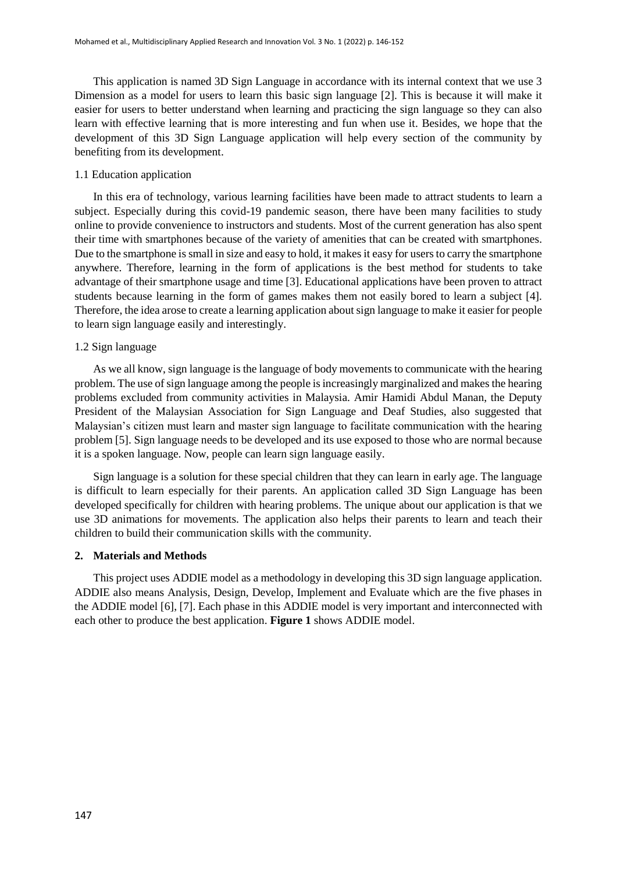This application is named 3D Sign Language in accordance with its internal context that we use 3 Dimension as a model for users to learn this basic sign language [2]. This is because it will make it easier for users to better understand when learning and practicing the sign language so they can also learn with effective learning that is more interesting and fun when use it. Besides, we hope that the development of this 3D Sign Language application will help every section of the community by benefiting from its development.

#### 1.1 Education application

In this era of technology, various learning facilities have been made to attract students to learn a subject. Especially during this covid-19 pandemic season, there have been many facilities to study online to provide convenience to instructors and students. Most of the current generation has also spent their time with smartphones because of the variety of amenities that can be created with smartphones. Due to the smartphone is small in size and easy to hold, it makes it easy for users to carry the smartphone anywhere. Therefore, learning in the form of applications is the best method for students to take advantage of their smartphone usage and time [3]. Educational applications have been proven to attract students because learning in the form of games makes them not easily bored to learn a subject [4]. Therefore, the idea arose to create a learning application about sign language to make it easier for people to learn sign language easily and interestingly.

#### 1.2 Sign language

As we all know, sign language is the language of body movements to communicate with the hearing problem. The use of sign language among the people is increasingly marginalized and makes the hearing problems excluded from community activities in Malaysia. Amir Hamidi Abdul Manan, the Deputy President of the Malaysian Association for Sign Language and Deaf Studies, also suggested that Malaysian's citizen must learn and master sign language to facilitate communication with the hearing problem [5]. Sign language needs to be developed and its use exposed to those who are normal because it is a spoken language. Now, people can learn sign language easily.

Sign language is a solution for these special children that they can learn in early age. The language is difficult to learn especially for their parents. An application called 3D Sign Language has been developed specifically for children with hearing problems. The unique about our application is that we use 3D animations for movements. The application also helps their parents to learn and teach their children to build their communication skills with the community.

#### **2. Materials and Methods**

This project uses ADDIE model as a methodology in developing this 3D sign language application. ADDIE also means Analysis, Design, Develop, Implement and Evaluate which are the five phases in the ADDIE model [6], [7]. Each phase in this ADDIE model is very important and interconnected with each other to produce the best application. **Figure 1** shows ADDIE model.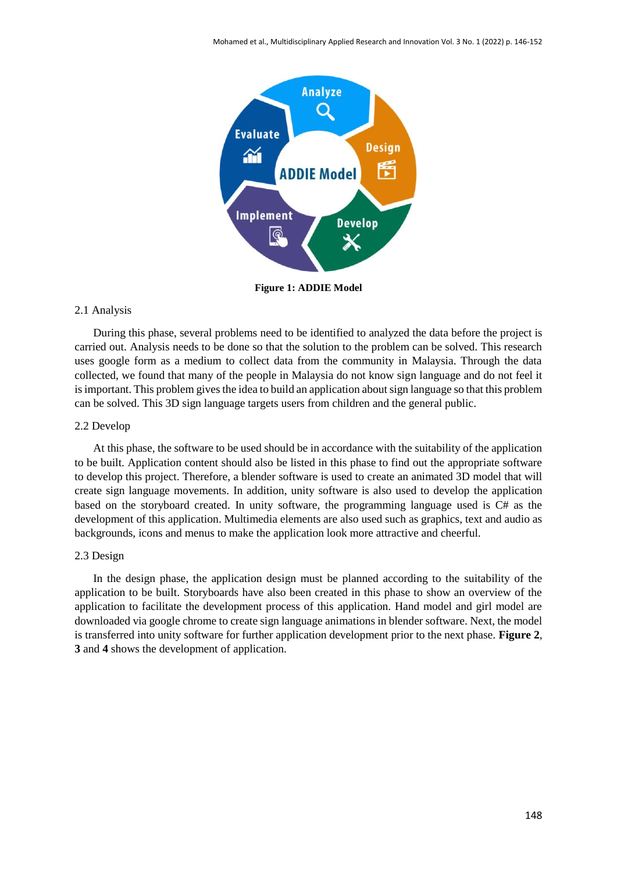

**Figure 1: ADDIE Model**

#### 2.1 Analysis

During this phase, several problems need to be identified to analyzed the data before the project is carried out. Analysis needs to be done so that the solution to the problem can be solved. This research uses google form as a medium to collect data from the community in Malaysia. Through the data collected, we found that many of the people in Malaysia do not know sign language and do not feel it is important. This problem gives the idea to build an application about sign language so that this problem can be solved. This 3D sign language targets users from children and the general public.

#### 2.2 Develop

At this phase, the software to be used should be in accordance with the suitability of the application to be built. Application content should also be listed in this phase to find out the appropriate software to develop this project. Therefore, a blender software is used to create an animated 3D model that will create sign language movements. In addition, unity software is also used to develop the application based on the storyboard created. In unity software, the programming language used is C# as the development of this application. Multimedia elements are also used such as graphics, text and audio as backgrounds, icons and menus to make the application look more attractive and cheerful.

#### 2.3 Design

In the design phase, the application design must be planned according to the suitability of the application to be built. Storyboards have also been created in this phase to show an overview of the application to facilitate the development process of this application. Hand model and girl model are downloaded via google chrome to create sign language animations in blender software. Next, the model is transferred into unity software for further application development prior to the next phase. **Figure 2**, **3** and **4** shows the development of application.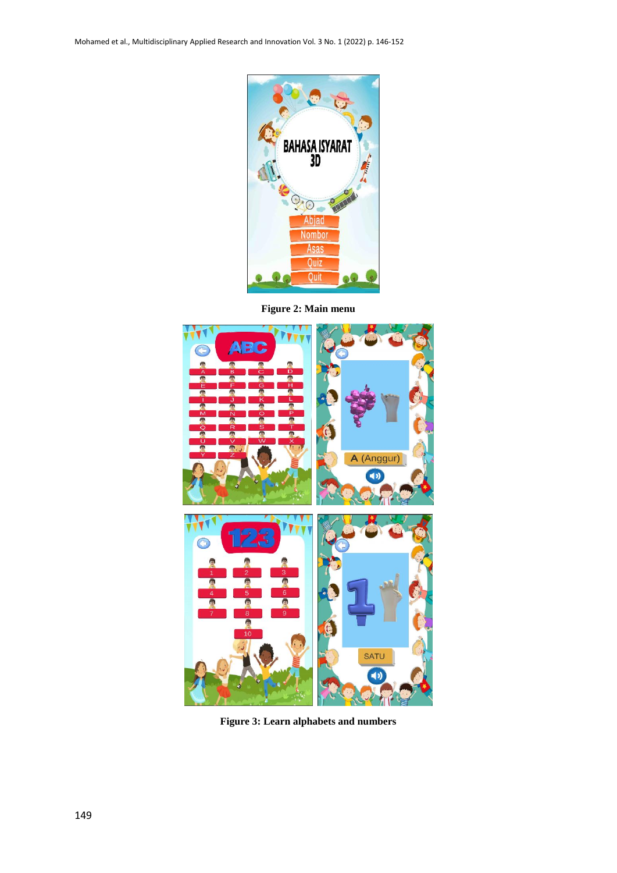

**Figure 2: Main menu**



**Figure 3: Learn alphabets and numbers**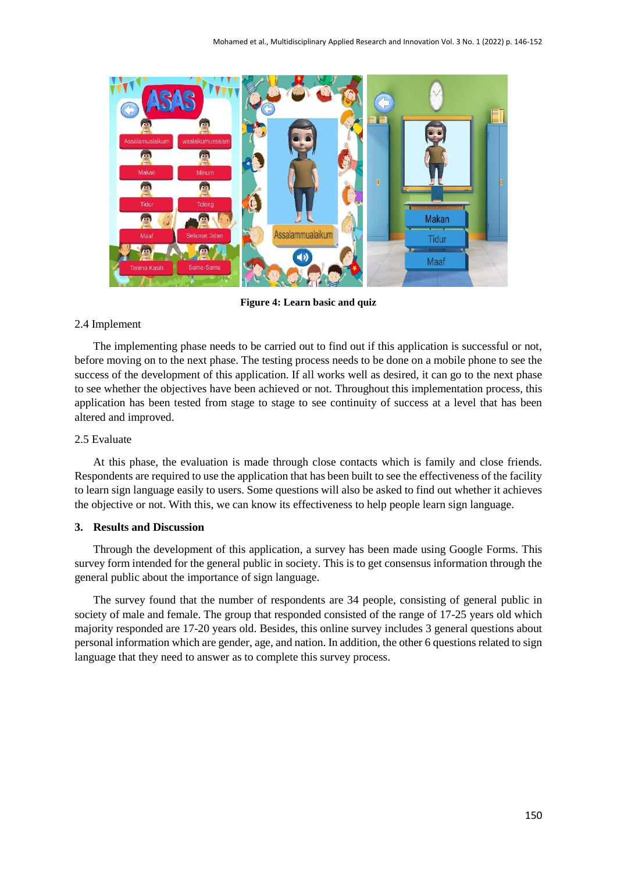

**Figure 4: Learn basic and quiz**

#### 2.4 Implement

The implementing phase needs to be carried out to find out if this application is successful or not, before moving on to the next phase. The testing process needs to be done on a mobile phone to see the success of the development of this application. If all works well as desired, it can go to the next phase to see whether the objectives have been achieved or not. Throughout this implementation process, this application has been tested from stage to stage to see continuity of success at a level that has been altered and improved.

#### 2.5 Evaluate

At this phase, the evaluation is made through close contacts which is family and close friends. Respondents are required to use the application that has been built to see the effectiveness of the facility to learn sign language easily to users. Some questions will also be asked to find out whether it achieves the objective or not. With this, we can know its effectiveness to help people learn sign language.

#### **3. Results and Discussion**

Through the development of this application, a survey has been made using Google Forms. This survey form intended for the general public in society. This is to get consensus information through the general public about the importance of sign language.

The survey found that the number of respondents are 34 people, consisting of general public in society of male and female. The group that responded consisted of the range of 17-25 years old which majority responded are 17-20 years old. Besides, this online survey includes 3 general questions about personal information which are gender, age, and nation. In addition, the other 6 questions related to sign language that they need to answer as to complete this survey process.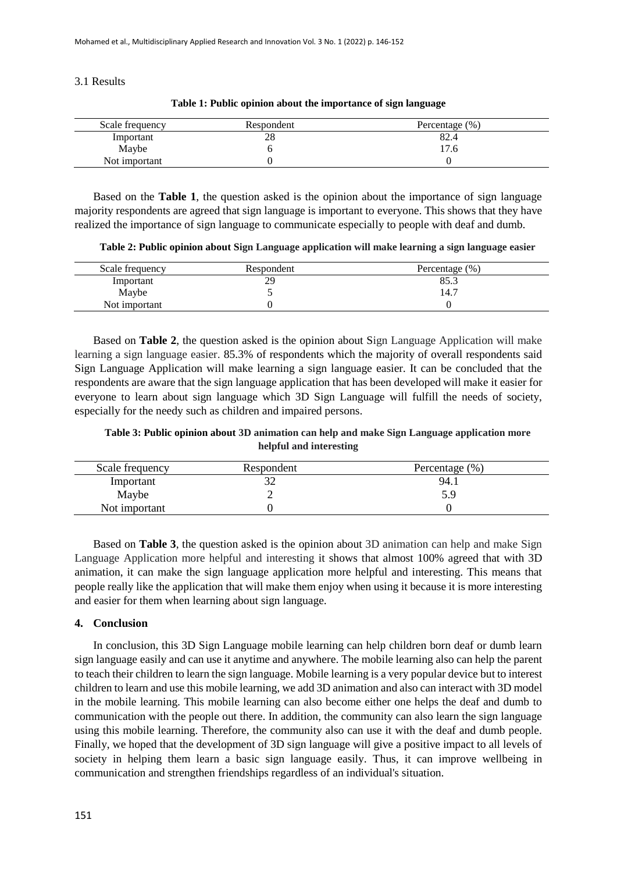3.1 Results

| Scale frequency | Respondent | Percentage $(\% )$ |
|-----------------|------------|--------------------|
| Important       | 28         | 82.4               |
| Maybe           |            | 17.6               |
| Not important   |            |                    |

**Table 1: Public opinion about the importance of sign language**

Based on the **Table 1**, the question asked is the opinion about the importance of sign language majority respondents are agreed that sign language is important to everyone. This shows that they have realized the importance of sign language to communicate especially to people with deaf and dumb.

**Table 2: Public opinion about Sign Language application will make learning a sign language easier**

| Scale frequency | Respondent | Percentage $(\% )$ |
|-----------------|------------|--------------------|
| Important       | 29         | 85.3               |
| Maybe           |            | 14.7               |
| Not important   |            |                    |

Based on **Table 2**, the question asked is the opinion about Sign Language Application will make learning a sign language easier. 85.3% of respondents which the majority of overall respondents said Sign Language Application will make learning a sign language easier. It can be concluded that the respondents are aware that the sign language application that has been developed will make it easier for everyone to learn about sign language which 3D Sign Language will fulfill the needs of society, especially for the needy such as children and impaired persons.

**Table 3: Public opinion about 3D animation can help and make Sign Language application more helpful and interesting**

| Scale frequency | Respondent | Percentage $(\% )$ |
|-----------------|------------|--------------------|
| Important       |            | 94.1               |
| Maybe           |            |                    |
| Not important   |            |                    |

Based on **Table 3**, the question asked is the opinion about 3D animation can help and make Sign Language Application more helpful and interesting it shows that almost 100% agreed that with 3D animation, it can make the sign language application more helpful and interesting. This means that people really like the application that will make them enjoy when using it because it is more interesting and easier for them when learning about sign language.

#### **4. Conclusion**

In conclusion, this 3D Sign Language mobile learning can help children born deaf or dumb learn sign language easily and can use it anytime and anywhere. The mobile learning also can help the parent to teach their children to learn the sign language. Mobile learning is a very popular device but to interest children to learn and use this mobile learning, we add 3D animation and also can interact with 3D model in the mobile learning. This mobile learning can also become either one helps the deaf and dumb to communication with the people out there. In addition, the community can also learn the sign language using this mobile learning. Therefore, the community also can use it with the deaf and dumb people. Finally, we hoped that the development of 3D sign language will give a positive impact to all levels of society in helping them learn a basic sign language easily. Thus, it can improve wellbeing in communication and strengthen friendships regardless of an individual's situation.